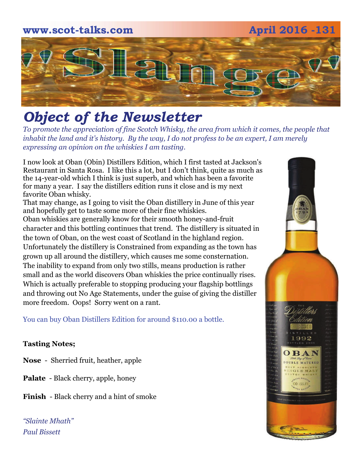# **www.scot-talks.com April 2016 -131** [2]

### *Object of the Newsletter*

*To promote the appreciation of fine Scotch Whisky, the area from which it comes, the people that inhabit the land and it's history. By the way, I do not profess to be an expert, I am merely expressing an opinion on the whiskies I am tasting.* 

I now look at Oban (Obin) Distillers Edition, which I first tasted at Jackson's Restaurant in Santa Rosa. I like this a lot, but I don't think, quite as much as the 14-year-old which I think is just superb, and which has been a favorite for many a year. I say the distillers edition runs it close and is my next favorite Oban whisky.

That may change, as I going to visit the Oban distillery in June of this year and hopefully get to taste some more of their fine whiskies. Oban whiskies are generally know for their smooth honey-and-fruit character and this bottling continues that trend. The distillery is situated in the town of Oban, on the west coast of Scotland in the highland region. Unfortunately the distillery is Constrained from expanding as the town has grown up all around the distillery, which causes me some consternation. The inability to expand from only two stills, means production is rather small and as the world discovers Oban whiskies the price continually rises. Which is actually preferable to stopping producing your flagship bottlings and throwing out No Age Statements, under the guise of giving the distiller more freedom. Oops! Sorry went on a rant.

You can buy Oban Distillers Edition for around \$110.00 a bottle.

#### **Tasting Notes;**

- **Nose**  Sherried fruit, heather, apple
- **Palate**  Black cherry, apple, honey
- **Finish**  Black cherry and a hint of smoke

*"Slainte Mhath" Paul Bissett*

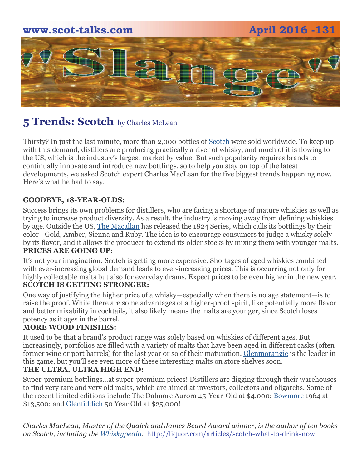

#### **5 Trends: Scotch** by Charles McLean

Thirsty? In just the last minute, more than 2,000 bottles o[f Scotch](http://liquor.com/spirit/scotch/) were sold worldwide. To keep up with this demand, distillers are producing practically a river of whisky, and much of it is flowing to the US, which is the industry's largest market by value. But such popularity requires brands to continually innovate and introduce new bottlings, so to help you stay on top of the latest developments, we asked Scotch expert Charles MacLean for the five biggest trends happening now. Here's what he had to say.

#### **GOODBYE, 18-YEAR-OLDS:**

Success brings its own problems for distillers, who are facing a shortage of mature whiskies as well as trying to increase product diversity. As a result, the industry is moving away from defining whiskies by age. Outside the US, [The Macallan](http://liquor.com/brands/the-macallan/) has released the 1824 Series, which calls its bottlings by their color—Gold, Amber, Sienna and Ruby. The idea is to encourage consumers to judge a whisky solely by its flavor, and it allows the producer to extend its older stocks by mixing them with younger malts. **PRICES ARE GOING UP:** 

It's not your imagination: Scotch is getting more expensive. Shortages of aged whiskies combined with ever-increasing global demand leads to ever-increasing prices. This is occurring not only for highly collectable malts but also for everyday drams. Expect prices to be even higher in the new year. **SCOTCH IS GETTING STRONGER:** 

One way of justifying the higher price of a whisky—especially when there is no age statement—is to raise the proof. While there are some advantages of a higher-proof spirit, like potentially more flavor and better mixability in cocktails, it also likely means the malts are younger, since Scotch loses potency as it ages in the barrel.

#### **MORE WOOD FINISHES:**

It used to be that a brand's product range was solely based on whiskies of different ages. But increasingly, portfolios are filled with a variety of malts that have been aged in different casks (often former wine or port barrels) for the last year or so of their maturation. [Glenmorangie](http://liquor.com/brands/glenmorangie/) is the leader in this game, but you'll see even more of these interesting malts on store shelves soon.

#### **THE ULTRA, ULTRA HIGH END:**

Super-premium bottlings…at super-premium prices! Distillers are digging through their warehouses to find very rare and very old malts, which are aimed at investors, collectors and oligarchs. Some of the recent limited editions include The Dalmore Aurora 45-Year-Old at \$4,000; [Bowmore](http://liquor.com/brands/bowmore/) 1964 at \$13,500; and [Glenfiddich](http://liquor.com/brands/glenfiddich-single-malt-scotch-whisky/) 50 Year Old at \$25,000!

*Charles MacLean, Master of the Quaich and James Beard Award winner, is the author of ten books on Scotch, including the [Whiskypedia](http://www.amazon.com/Whiskypedia-Compendium-Scottish-Charles-MacLean/dp/1616080760/ref=sr_1_1?s=books&ie=UTF8&qid=1285858929&sr=1-1).* [http://liquor.com/articles/scotch-what-to-drink-now](http://liquor.com/articles/scotch-what-to-drink-now/)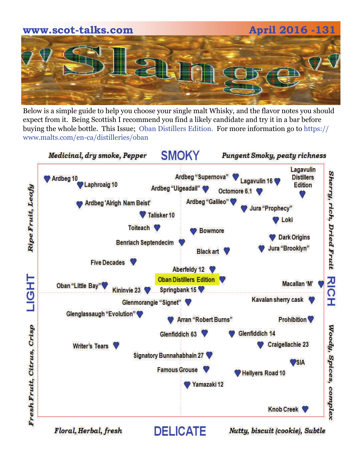

Below is a simple guide to help you choose your single malt Whisky, and the flavor notes you should expect from it. Being Scottish I recommend you find a likely candidate and try it in a bar before buying the whole bottle. This Issue; Oban Distillers Edition. For more information go to https:// www.malts.com/en-ca/distilleries/oban



Floral, Herbal, fresh

Nutty, biscuit (cookie), Subtle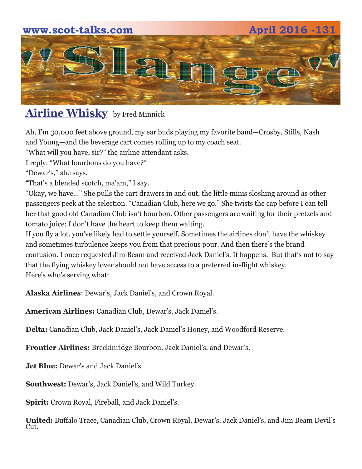## **www.scot-talks.com April 2016 -131** 21

### **Airline Whisky** by Fred Minnick

Ah, I'm 30,000 feet above ground, my ear buds playing my favorite band—Crosby, Stills, Nash and Young—and the beverage cart comes rolling up to my coach seat.

"What will you have, sir?" the airline attendant asks.

I reply: "What bourbons do you have?"

"Dewar's," she says.

"That's a blended scotch, ma'am," I say.

"Okay, we have…" She pulls the cart drawers in and out, the little minis sloshing around as other passengers peek at the selection. "Canadian Club, here we go." She twists the cap before I can tell her that good old Canadian Club isn't bourbon. Other passengers are waiting for their pretzels and tomato juice; I don't have the heart to keep them waiting.

If you fly a lot, you've likely had to settle yourself. Sometimes the airlines don't have the whiskey and sometimes turbulence keeps you from that precious pour. And then there's the brand confusion. I once requested Jim Beam and received Jack Daniel's. It happens. But that's not to say that the flying whiskey lover should not have access to a preferred in-flight whiskey. Here's who's serving what:

**Alaska Airlines**: Dewar's, Jack Daniel's, and Crown Royal.

**American Airlines:** Canadian Club, Dewar's, Jack Daniel's.

**Delta:** Canadian Club, Jack Daniel's, Jack Daniel's Honey, and Woodford Reserve.

**Frontier Airlines:** Breckinridge Bourbon, Jack Daniel's, and Dewar's.

**Jet Blue:** Dewar's and Jack Daniel's.

**Southwest:** Dewar's, Jack Daniel's, and Wild Turkey.

**Spirit:** Crown Royal, Fireball, and Jack Daniel's.

**United:** Buffalo Trace, Canadian Club, Crown Royal, Dewar's, Jack Daniel's, and Jim Beam Devil's Cut.